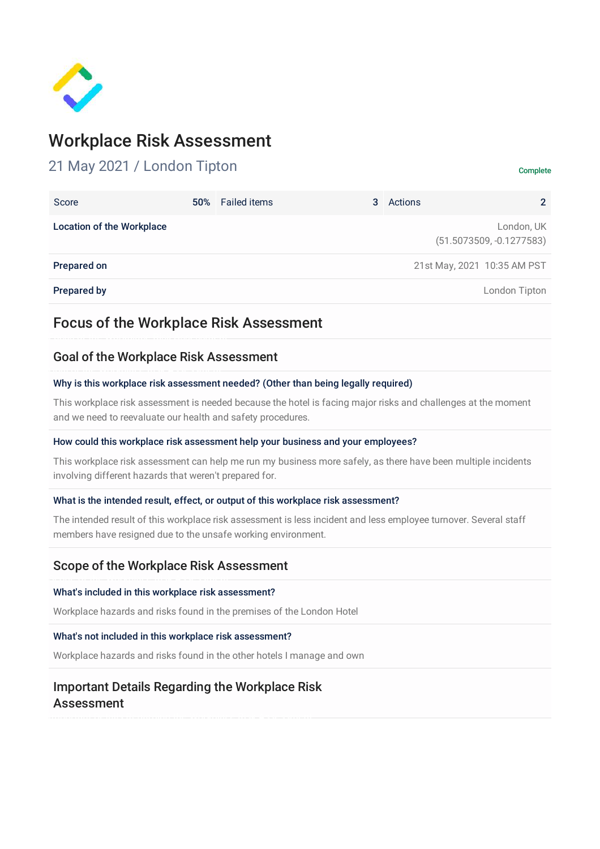

# Workplace Risk Assessment

# 21 May 2021 / London Tipton Complete

| Score                            | 50% Failed items | 3 | Actions | $\mathcal{P}$                            |
|----------------------------------|------------------|---|---------|------------------------------------------|
| <b>Location of the Workplace</b> |                  |   |         | London, UK<br>$(51.5073509, -0.1277583)$ |
| Prepared on                      |                  |   |         | 21st May, 2021 10:35 AM PST              |
| <b>Prepared by</b>               |                  |   |         | London Tipton                            |

# Focus of the Workplace Risk Assessment

## Goal of the Workplace Risk Assessment

#### Why is this workplace risk assessment needed? (Other than being legally required)

This workplace risk assessment is needed because the hotel is facing major risks and challenges at the moment and we need to reevaluate our health and safety procedures.

#### How could this workplace risk assessment help your business and your employees?

This workplace risk assessment can help me run my business more safely, as there have been multiple incidents involving different hazards that weren't prepared for.

#### What is the intended result, effect, or output of this workplace risk assessment?

The intended result of this workplace risk assessment is less incident and less employee turnover. Several staff members have resigned due to the unsafe working environment.

## Scope of the Workplace Risk Assessment

#### What's included in this workplace risk assessment?

Workplace hazards and risks found in the premises of the London Hotel

#### What's not included in this workplace risk assessment?

Workplace hazards and risks found in the other hotels I manage and own

## Important Details Regarding the Workplace Risk Assessment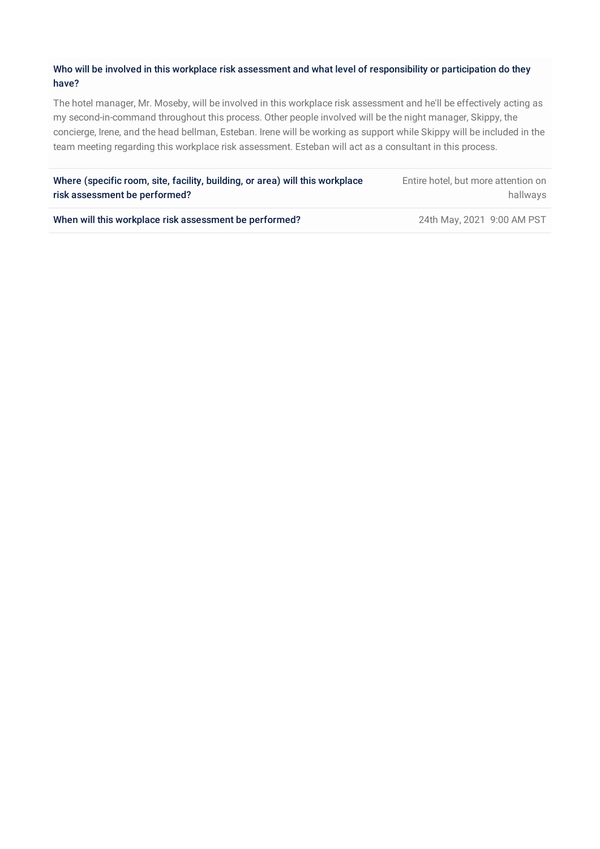### Who will be involved in this workplace risk assessment and what level of responsibility or participation do they have?

The hotel manager, Mr. Moseby, will be involved in this workplace risk assessment and he'll be effectively acting as my second-in-command throughout this process. Other people involved will be the night manager, Skippy, the concierge, Irene, and the head bellman, Esteban. Irene will be working as support while Skippy will be included in the team meeting regarding this workplace risk assessment. Esteban will act as a consultant in this process.

| Where (specific room, site, facility, building, or area) will this workplace | Entire hotel, but more attention on |
|------------------------------------------------------------------------------|-------------------------------------|
| risk assessment be performed?                                                | hallwavs                            |
|                                                                              |                                     |

When will this workplace risk assessment be performed? 24th May, 2021 9:00 AM PST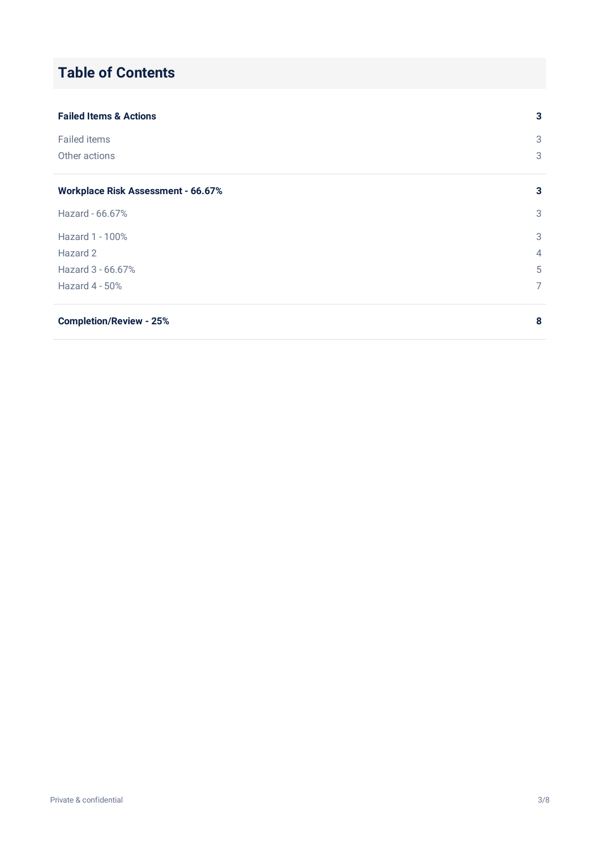# **Table of Contents**

| <b>Failed Items &amp; Actions</b>         | 3 |
|-------------------------------------------|---|
| <b>Failed items</b>                       | 3 |
| Other actions                             | 3 |
| <b>Workplace Risk Assessment - 66.67%</b> | 3 |
| Hazard - 66.67%                           | 3 |
| Hazard 1 - 100%                           | 3 |
| Hazard 2                                  | 4 |
| Hazard 3 - 66.67%                         | 5 |
| Hazard $4 - 50\%$                         | 7 |
| <b>Completion/Review - 25%</b>            | 8 |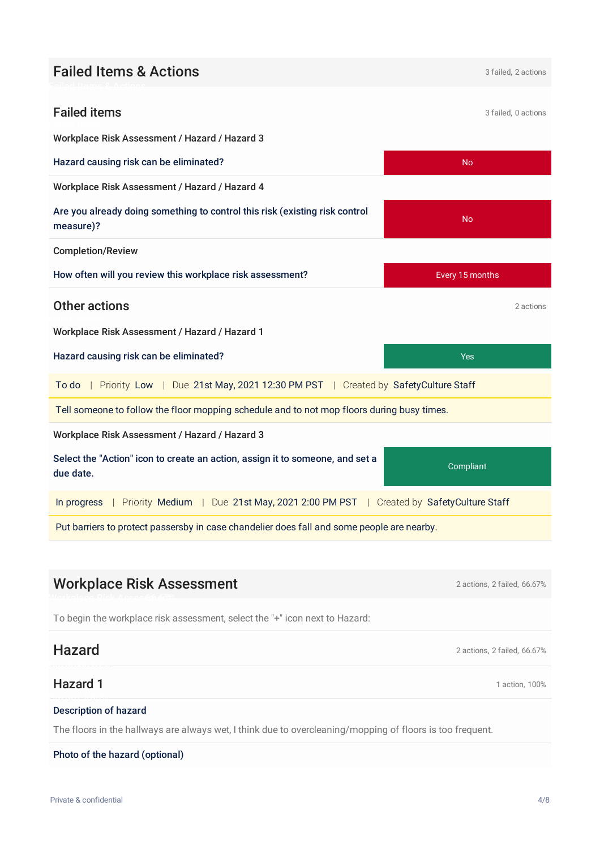# **Failed Items & Actions** 3 failed, 2 actions

<span id="page-3-2"></span><span id="page-3-1"></span><span id="page-3-0"></span>

| <b>Failed items</b>                                                                             | 3 failed, 0 actions |  |  |  |
|-------------------------------------------------------------------------------------------------|---------------------|--|--|--|
| Workplace Risk Assessment / Hazard / Hazard 3                                                   |                     |  |  |  |
| Hazard causing risk can be eliminated?                                                          | N <sub>o</sub>      |  |  |  |
| Workplace Risk Assessment / Hazard / Hazard 4                                                   |                     |  |  |  |
| Are you already doing something to control this risk (existing risk control<br>measure)?        | No                  |  |  |  |
| <b>Completion/Review</b>                                                                        |                     |  |  |  |
| How often will you review this workplace risk assessment?                                       | Every 15 months     |  |  |  |
| Other actions                                                                                   | 2 actions           |  |  |  |
| Workplace Risk Assessment / Hazard / Hazard 1                                                   |                     |  |  |  |
| Hazard causing risk can be eliminated?                                                          | <b>Yes</b>          |  |  |  |
| To do   Priority Low   Due 21st May, 2021 12:30 PM PST   Created by SafetyCulture Staff         |                     |  |  |  |
| Tell someone to follow the floor mopping schedule and to not mop floors during busy times.      |                     |  |  |  |
| Workplace Risk Assessment / Hazard / Hazard 3                                                   |                     |  |  |  |
| Select the "Action" icon to create an action, assign it to someone, and set a<br>due date.      | Compliant           |  |  |  |
| In progress   Priority Medium   Due 21st May, 2021 2:00 PM PST   Created by SafetyCulture Staff |                     |  |  |  |
| Put barriers to protect passersby in case chandelier does fall and some people are nearby.      |                     |  |  |  |
|                                                                                                 |                     |  |  |  |

# Workplace Risk Assessment 2 actions, 2 failed, 66.67%

<span id="page-3-3"></span>To begin the workplace risk assessment, select the "+" icon next to Hazard:

## Hazard 2 actions, 2 failed, 66.67%

<span id="page-3-4"></span>Hazard 1 action, 100%

### <span id="page-3-5"></span>Description of hazard

The floors in the hallways are always wet, I think due to overcleaning/mopping of floors is too frequent.

#### Photo of the hazard (optional)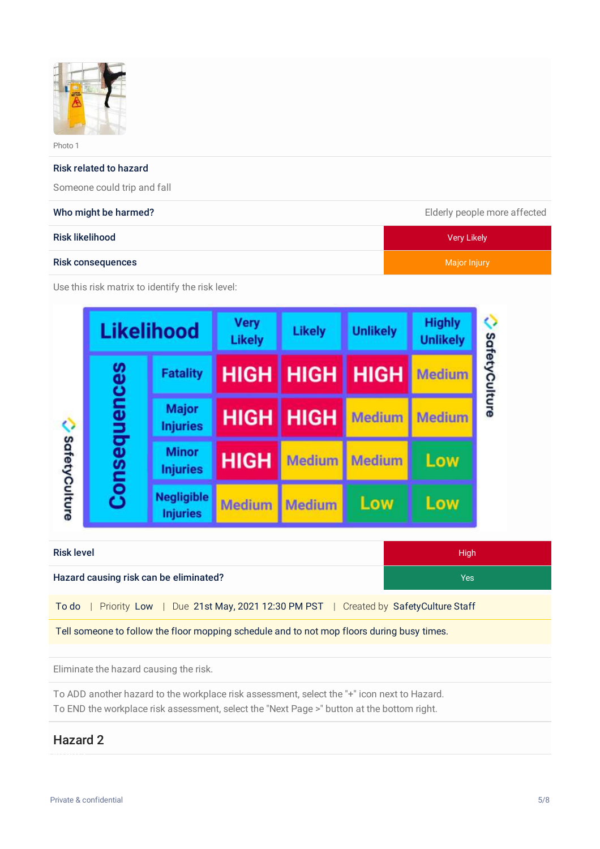

Photo 1

#### Risk related to hazard

Someone could trip and fall

| Who might be harmed?   | Elderly people more affected |  |  |
|------------------------|------------------------------|--|--|
| <b>Risk likelihood</b> | Very Likely                  |  |  |
| Risk consequences      | Major Injury                 |  |  |

Use this risk matrix to identify the risk level:

| <b>Likelihood</b>                                                                          |              | <b>Very</b><br><b>Likely</b>         | <b>Likely</b> | <b>Unlikely</b> | <b>Highly</b><br><b>Unlikely</b> |               |               |
|--------------------------------------------------------------------------------------------|--------------|--------------------------------------|---------------|-----------------|----------------------------------|---------------|---------------|
|                                                                                            |              | <b>Fatality</b>                      | <b>HIGH</b>   | <b>HIGH</b>     | <b>HIGH</b>                      | <b>Medium</b> | SafetyCulture |
|                                                                                            |              | <b>Major</b><br><b>Injuries</b>      | <b>HIGH</b>   | <b>HIGH</b>     | Medium                           | <b>Medium</b> |               |
| SafetyCulture                                                                              | Consequences | <b>Minor</b><br><b>Injuries</b>      | <b>HIGH</b>   | <b>Medium</b>   | <b>Medium</b>                    | Low           |               |
|                                                                                            |              | <b>Negligible</b><br><b>Injuries</b> | <b>Medium</b> | <b>Medium</b>   | Low                              | Low           |               |
| <b>Risk level</b><br><b>High</b>                                                           |              |                                      |               |                 |                                  |               |               |
| Hazard causing risk can be eliminated?<br><b>Yes</b>                                       |              |                                      |               |                 |                                  |               |               |
| Due 21st May, 2021 12:30 PM PST   Created by Safety Culture Staff<br>To do<br>Priority Low |              |                                      |               |                 |                                  |               |               |
| Tell someone to follow the floor mopping schedule and to not mop floors during busy times. |              |                                      |               |                 |                                  |               |               |

Eliminate the hazard causing the risk.

To ADD another hazard to the workplace risk assessment, select the "+" icon next to Hazard. To END the workplace risk assessment, select the "Next Page >" button at the bottom right.

## <span id="page-4-0"></span>Hazard 2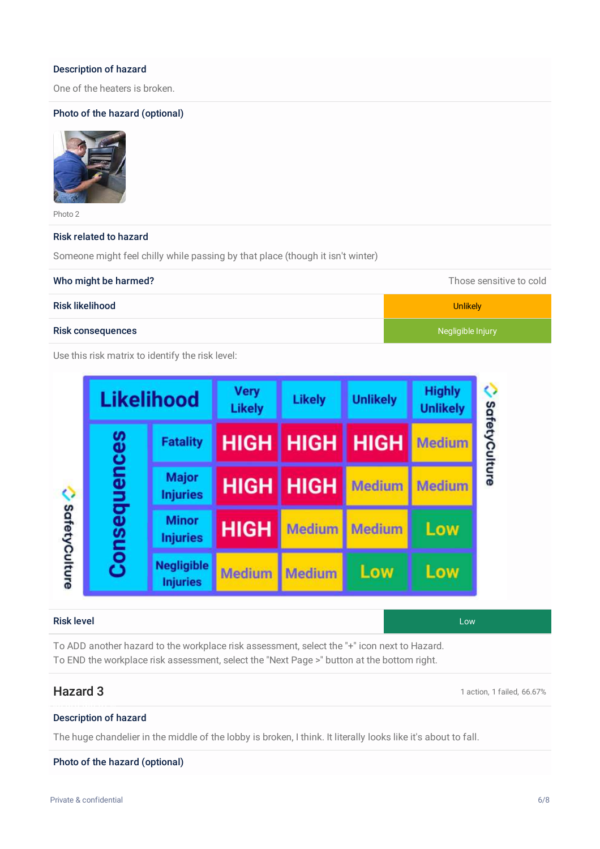#### Description of hazard

One of the heaters is broken.

### Photo of the hazard (optional)



Photo 2

#### Risk related to hazard

Someone might feel chilly while passing by that place (though it isn't winter)

| Who might be harmed?                             | Those sensitive to cold |
|--------------------------------------------------|-------------------------|
| Risk likelihood                                  | <b>Unlikely</b>         |
| <b>Risk consequences</b>                         | Negligible Injury       |
| Use this risk matrix to identify the risk level: |                         |

| <b>Likelihood</b>             |                                      | Very<br><b>Likely</b> | <b>Likely</b>      | <b>Unlikely</b> | <b>Highly</b><br><b>Unlikely</b> |
|-------------------------------|--------------------------------------|-----------------------|--------------------|-----------------|----------------------------------|
|                               | <b>Fatality</b>                      |                       | <b>HIGH   HIGH</b> | <b>HIGH</b>     | <b>Medium</b>                    |
| Consequences<br>SafetyCulture | <b>Major</b><br><b>Injuries</b>      |                       | <b>HIGH HIGH</b>   | <b>Medium</b>   | <b>Medium</b>                    |
|                               | <b>Minor</b><br><b>Injuries</b>      | <b>HIGH</b>           | <b>Medium</b>      | <b>Medium</b>   | Low                              |
|                               | <b>Negligible</b><br><b>Injuries</b> | <b>Medium</b>         | <b>Medium</b>      | Low             | Low                              |

#### Risk level Low

To ADD another hazard to the workplace risk assessment, select the "+" icon next to Hazard. To END the workplace risk assessment, select the "Next Page >" button at the bottom right.

Hazard 3 **1** action, 1 failed, 66.67%

### <span id="page-5-0"></span>Description of hazard

The huge chandelier in the middle of the lobby is broken, I think. It literally looks like it's about to fall.

#### Photo of the hazard (optional)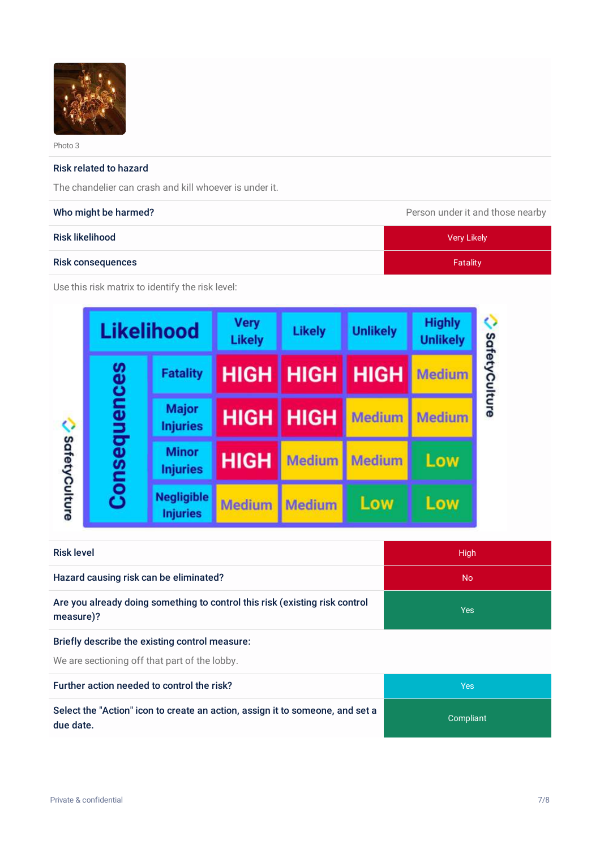

Photo 3

#### Risk related to hazard

The chandelier can crash and kill whoever is under it.

#### Who might be harmed? **Person under it and those nearby Person under it and those nearby**

| $\tilde{\phantom{a}}$    |             |
|--------------------------|-------------|
| <b>Risk likelihood</b>   | Very Likely |
| <b>Risk consequences</b> | Fatality    |

Use this risk matrix to identify the risk level:

|               | <b>Likelihood</b>                    | <b>Very</b><br><b>Likely</b> | <b>Likely</b> | <b>Unlikely</b> | <b>Highly</b><br><b>Unlikely</b> |
|---------------|--------------------------------------|------------------------------|---------------|-----------------|----------------------------------|
|               | <b>Fatality</b>                      | <b>HIGH</b>                  | HIGH          | <b>HIGH</b>     | <b>Medium</b>                    |
| Consequences  | <b>Major</b><br><b>Injuries</b>      | <b>HIGH</b>                  | <b>HIGH</b>   | <b>Medium</b>   | <b>Medium</b>                    |
|               | <b>Minor</b><br><b>Injuries</b>      | <b>HIGH</b>                  | <b>Medium</b> | <b>Medium</b>   | Low                              |
| SafetyCulture | <b>Negligible</b><br><b>Injuries</b> | <b>Medium</b>                | <b>Medium</b> | Low             | Low                              |

| <b>Risk level</b>                                                                        | <b>High</b> |
|------------------------------------------------------------------------------------------|-------------|
| Hazard causing risk can be eliminated?                                                   | No.         |
| Are you already doing something to control this risk (existing risk control<br>measure)? | Yes         |
|                                                                                          |             |

#### Briefly describe the existing control measure:

We are sectioning off that part of the lobby.

Further action needed to control the risk?

Select the "Action" icon to create an action, assign it to someone, and set a due date.

| Yes       |
|-----------|
| Compliant |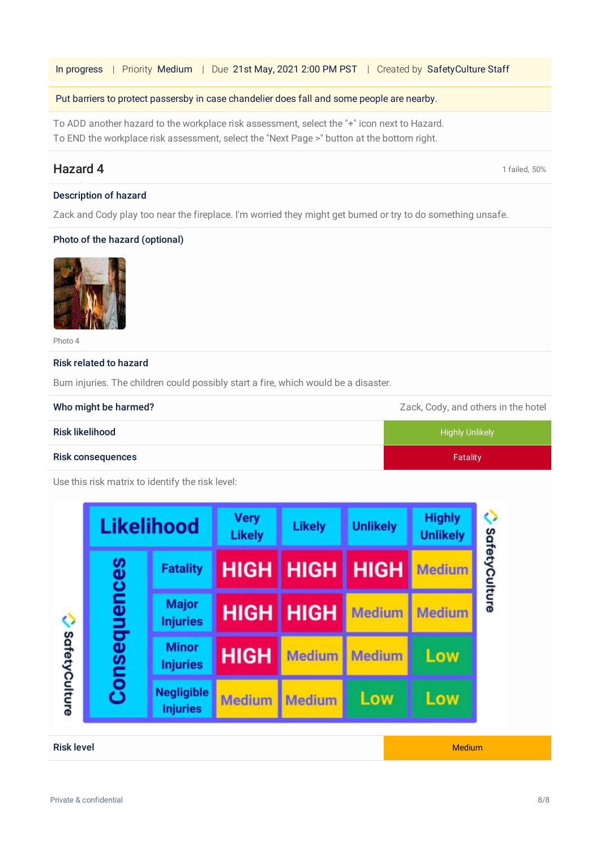In progress | Priority Medium | Due 21st May, 2021 2:00 PM PST | Created by SafetyCulture Staff

#### Put barriers to protect passersby in case chandelier does fall and some people are nearby.

To ADD another hazard to the workplace risk assessment, select the "+" icon next to Hazard. To END the workplace risk assessment, select the "Next Page >" button at the bottom right.

## Hazard 4 and 1 failed, 50%

#### <span id="page-7-0"></span>Description of hazard

Zack and Cody play too near the fireplace. I'm worried they might get burned or try to do something unsafe.

#### Photo of the hazard (optional)



Photo 4

#### Risk related to hazard

Burn injuries. The children could possibly start a fire, which would be a disaster.

| Who might be harmed?     | Zack, Cody, and others in the hotel |
|--------------------------|-------------------------------------|
| Risk likelihood          | <b>Highly Unlikely</b>              |
| <b>Risk consequences</b> | Fatality                            |

Use this risk matrix to identify the risk level:

|               | <b>Likelihood</b>                    |               | <b>Likely</b> | <b>Unlikely</b> | <b>Highly</b><br><b>Unlikely</b> |
|---------------|--------------------------------------|---------------|---------------|-----------------|----------------------------------|
| Consequences  | <b>Fatality</b>                      | <b>HIGH</b>   | <b>HIGH</b>   | <b>HIGH</b>     | <b>Medium</b>                    |
|               | <b>Major</b><br><b>Injuries</b>      | <b>HIGH</b>   | <b>HIGH</b>   | <b>Medium</b>   | <b>Medium</b>                    |
|               | <b>Minor</b><br><b>Injuries</b>      | <b>HIGH</b>   | <b>Medium</b> | <b>Medium</b>   | Low                              |
| SafetyCulture | <b>Negligible</b><br><b>Injuries</b> | <b>Medium</b> | <b>Medium</b> | Low             | Low                              |